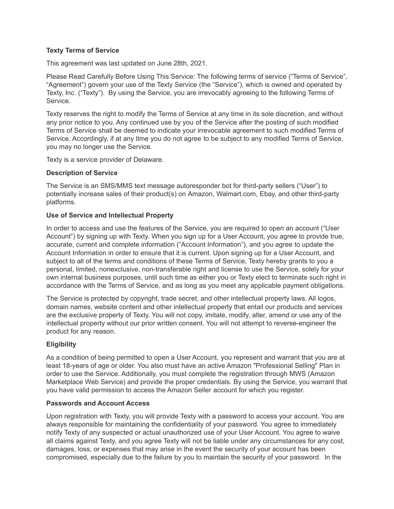### **Texty Terms of Service**

This agreement was last updated on June 28th, 2021.

Please Read Carefully Before Using This Service: The following terms of service ("Terms of Service", "Agreement") govern your use of the Texty Service (the "Service"), which is owned and operated by Texty, Inc. ("Texty"). By using the Service, you are irrevocably agreeing to the following Terms of **Service** 

Texty reserves the right to modify the Terms of Service at any time in its sole discretion, and without any prior notice to you. Any continued use by you of the Service after the posting of such modified Terms of Service shall be deemed to indicate your irrevocable agreement to such modified Terms of Service. Accordingly, if at any time you do not agree to be subject to any modified Terms of Service, you may no longer use the Service.

Texty is a service provider of Delaware.

## **Description of Service**

The Service is an SMS/MMS text message autoresponder bot for third-party sellers ("User") to potentially increase sales of their product(s) on Amazon, Walmart.com, Ebay, and other third-party platforms.

## **Use of Service and Intellectual Property**

In order to access and use the features of the Service, you are required to open an account ("User Account") by signing up with Texty. When you sign up for a User Account, you agree to provide true, accurate, current and complete information ("Account Information"), and you agree to update the Account Information in order to ensure that it is current. Upon signing up for a User Account, and subject to all of the terms and conditions of these Terms of Service, Texty hereby grants to you a personal, limited, nonexclusive, non-transferable right and license to use the Service, solely for your own internal business purposes, until such time as either you or Texty elect to terminate such right in accordance with the Terms of Service, and as long as you meet any applicable payment obligations.

The Service is protected by copyright, trade secret, and other intellectual property laws. All logos, domain names, website content and other intellectual property that entail our products and services are the exclusive property of Texty. You will not copy, imitate, modify, alter, amend or use any of the intellectual property without our prior written consent. You will not attempt to reverse-engineer the product for any reason.

# **Eligibility**

As a condition of being permitted to open a User Account, you represent and warrant that you are at least 18-years of age or older. You also must have an active Amazon "Professional Selling" Plan in order to use the Service. Additionally, you must complete the registration through MWS (Amazon Marketplace Web Service) and provide the proper credentials. By using the Service, you warrant that you have valid permission to access the Amazon Seller account for which you register.

# **Passwords and Account Access**

Upon registration with Texty, you will provide Texty with a password to access your account. You are always responsible for maintaining the confidentiality of your password. You agree to immediately notify Texty of any suspected or actual unauthorized use of your User Account. You agree to waive all claims against Texty, and you agree Texty will not be liable under any circumstances for any cost, damages, loss, or expenses that may arise in the event the security of your account has been compromised, especially due to the failure by you to maintain the security of your password. In the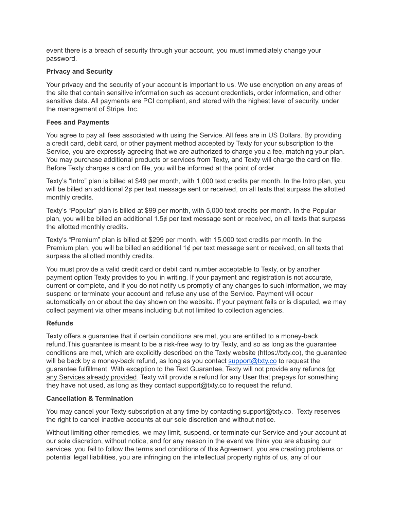event there is a breach of security through your account, you must immediately change your password.

## **Privacy and Security**

Your privacy and the security of your account is important to us. We use encryption on any areas of the site that contain sensitive information such as account credentials, order information, and other sensitive data. All payments are PCI compliant, and stored with the highest level of security, under the management of Stripe, Inc.

## **Fees and Payments**

You agree to pay all fees associated with using the Service. All fees are in US Dollars. By providing a credit card, debit card, or other payment method accepted by Texty for your subscription to the Service, you are expressly agreeing that we are authorized to charge you a fee, matching your plan. You may purchase additional products or services from Texty, and Texty will charge the card on file. Before Texty charges a card on file, you will be informed at the point of order.

Texty's "Intro" plan is billed at \$49 per month, with 1,000 text credits per month. In the Intro plan, you will be billed an additional 2¢ per text message sent or received, on all texts that surpass the allotted monthly credits.

Texty's "Popular" plan is billed at \$99 per month, with 5,000 text credits per month. In the Popular plan, you will be billed an additional 1.5¢ per text message sent or received, on all texts that surpass the allotted monthly credits.

Texty's "Premium" plan is billed at \$299 per month, with 15,000 text credits per month. In the Premium plan, you will be billed an additional 1¢ per text message sent or received, on all texts that surpass the allotted monthly credits.

You must provide a valid credit card or debit card number acceptable to Texty, or by another payment option Texty provides to you in writing. If your payment and registration is not accurate, current or complete, and if you do not notify us promptly of any changes to such information, we may suspend or terminate your account and refuse any use of the Service. Payment will occur automatically on or about the day shown on the website. If your payment fails or is disputed, we may collect payment via other means including but not limited to collection agencies.

# **Refunds**

Texty offers a guarantee that if certain conditions are met, you are entitled to a money-back refund.This guarantee is meant to be a risk-free way to try Texty, and so as long as the guarantee conditions are met, which are explicitly described on the Texty website (https://txty.co), the guarantee will be back by a money-back refund, as long as you contact [support@txty.co](mailto:support@txty.co) to request the guarantee fulfillment. With exception to the Text Guarantee, Texty will not provide any refunds for any Services already provided. Texty will provide a refund for any User that prepays for something they have not used, as long as they contact support@txty.co to request the refund.

### **Cancellation & Termination**

You may cancel your Texty subscription at any time by contacting support@txty.co. Texty reserves the right to cancel inactive accounts at our sole discretion and without notice.

Without limiting other remedies, we may limit, suspend, or terminate our Service and your account at our sole discretion, without notice, and for any reason in the event we think you are abusing our services, you fail to follow the terms and conditions of this Agreement, you are creating problems or potential legal liabilities, you are infringing on the intellectual property rights of us, any of our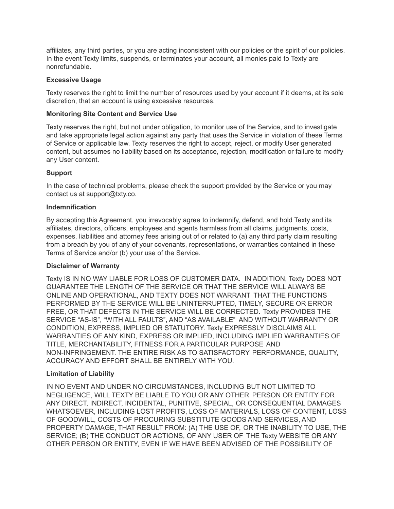affiliates, any third parties, or you are acting inconsistent with our policies or the spirit of our policies. In the event Texty limits, suspends, or terminates your account, all monies paid to Texty are nonrefundable.

### **Excessive Usage**

Texty reserves the right to limit the number of resources used by your account if it deems, at its sole discretion, that an account is using excessive resources.

## **Monitoring Site Content and Service Use**

Texty reserves the right, but not under obligation, to monitor use of the Service, and to investigate and take appropriate legal action against any party that uses the Service in violation of these Terms of Service or applicable law. Texty reserves the right to accept, reject, or modify User generated content, but assumes no liability based on its acceptance, rejection, modification or failure to modify any User content.

## **Support**

In the case of technical problems, please check the support provided by the Service or you may contact us at support@txty.co.

## **Indemnification**

By accepting this Agreement, you irrevocably agree to indemnify, defend, and hold Texty and its affiliates, directors, officers, employees and agents harmless from all claims, judgments, costs, expenses, liabilities and attorney fees arising out of or related to (a) any third party claim resulting from a breach by you of any of your covenants, representations, or warranties contained in these Terms of Service and/or (b) your use of the Service.

### **Disclaimer of Warranty**

Texty IS IN NO WAY LIABLE FOR LOSS OF CUSTOMER DATA. IN ADDITION, Texty DOES NOT GUARANTEE THE LENGTH OF THE SERVICE OR THAT THE SERVICE WILL ALWAYS BE ONLINE AND OPERATIONAL, AND TEXTY DOES NOT WARRANT THAT THE FUNCTIONS PERFORMED BY THE SERVICE WILL BE UNINTERRUPTED, TIMELY, SECURE OR ERROR FREE, OR THAT DEFECTS IN THE SERVICE WILL BE CORRECTED. Texty PROVIDES THE SERVICE "AS-IS", "WITH ALL FAULTS", AND "AS AVAILABLE" AND WITHOUT WARRANTY OR CONDITION, EXPRESS, IMPLIED OR STATUTORY. Texty EXPRESSLY DISCLAIMS ALL WARRANTIES OF ANY KIND, EXPRESS OR IMPLIED, INCLUDING IMPLIED WARRANTIES OF TITLE, MERCHANTABILITY, FITNESS FOR A PARTICULAR PURPOSE AND NON-INFRINGEMENT. THE ENTIRE RISK AS TO SATISFACTORY PERFORMANCE, QUALITY, ACCURACY AND EFFORT SHALL BE ENTIRELY WITH YOU.

### **Limitation of Liability**

IN NO EVENT AND UNDER NO CIRCUMSTANCES, INCLUDING BUT NOT LIMITED TO NEGLIGENCE, WILL TEXTY BE LIABLE TO YOU OR ANY OTHER PERSON OR ENTITY FOR ANY DIRECT, INDIRECT, INCIDENTAL, PUNITIVE, SPECIAL, OR CONSEQUENTIAL DAMAGES WHATSOEVER, INCLUDING LOST PROFITS, LOSS OF MATERIALS, LOSS OF CONTENT, LOSS OF GOODWILL, COSTS OF PROCURING SUBSTITUTE GOODS AND SERVICES, AND PROPERTY DAMAGE, THAT RESULT FROM: (A) THE USE OF, OR THE INABILITY TO USE, THE SERVICE; (B) THE CONDUCT OR ACTIONS, OF ANY USER OF THE Texty WEBSITE OR ANY OTHER PERSON OR ENTITY, EVEN IF WE HAVE BEEN ADVISED OF THE POSSIBILITY OF